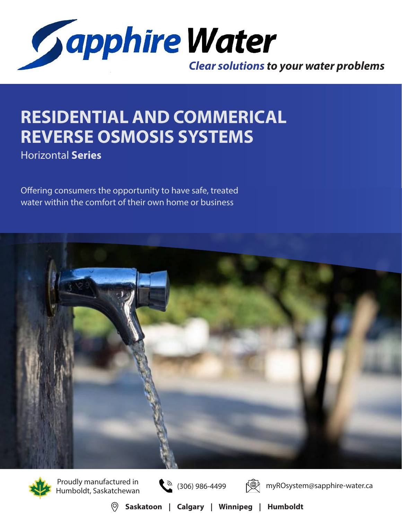

## **RESIDENTIAL AND COMMERICAL REVERSE OSMOSIS SYSTEMS**

Horizontal **Series**

Offering consumers the opportunity to have safe, treated water within the comfort of their own home or business





Proudly manufactured in<br>Humboldt, Saskatchewan (306) 986-4499





myROsystem@sapphire-water.ca

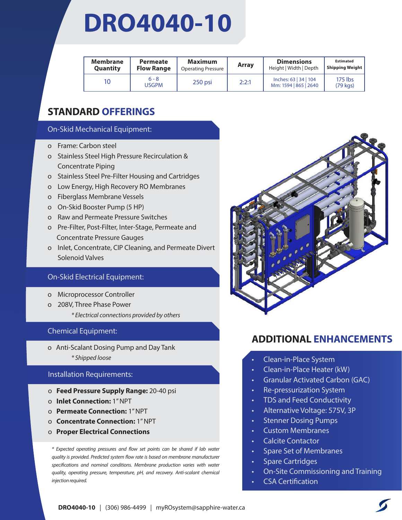## **DRO4040-10**

| Membrane<br><b>Quantity</b> | <b>Permeate</b><br><b>Flow Range</b> | <b>Maximum</b><br><b>Operating Pressure</b> | Array | <b>Dimensions</b><br>Height   Width   Depth    | <b>Estimated</b><br><b>Shipping Weight</b> |
|-----------------------------|--------------------------------------|---------------------------------------------|-------|------------------------------------------------|--------------------------------------------|
| 10                          | $6 - 8$<br><b>USGPM</b>              | $250$ psi                                   | 2:2:1 | Inches: 63   34   104<br>Mm: 1594   865   2640 | 175 lbs<br>$(79 \text{ kqs})$              |

## **STANDARD OFFERINGS**

### On-Skid Mechanical Equipment:

- o Frame: Carbon steel
- o Stainless Steel High Pressure Recirculation & **Concentrate Piping**
- o Stainless Steel Pre-Filter Housing and Cartridges
- o Low Energy, High Recovery RO Membranes
- o Fiberglass Membrane Vessels
- o On-Skid Booster Pump (5 HP)
- o Raw and Permeate Pressure Switches
- o Pre-Filter, Post-Filter, Inter-Stage, Permeate and Concentrate Pressure Gauges
- o Inlet, Concentrate, CIP Cleaning, and Permeate Divert Solenoid Valves

### On-Skid Electrical Equipment:

- o Microprocessor Controller
- o 208V, Three Phase Power
	- *\* Electrical connections provided by others*

### Chemical Equipment:

o Anti-Scalant Dosing Pump and Day Tank *\* Shipped loose*

### Installation Requirements:

- o **Feed Pressure Supply Range:** 20-40 psi
- o **Inlet Connection:** 1" NPT
- o **Permeate Connection:** 1" NPT
- o **Concentrate Connection:** 1" NPT
- o **Proper Electrical Connections**

*\* Expected operating pressures and flow set points can be shared if lab water quality is provided. Predicted system flow rate is based on membrane manufacturer specifications and nominal conditions. Membrane production varies with water quality, operating pressure, temperature, pH, and recovery. Anti-scalant chemical injection required.* 



- Clean-in-Place System
- Clean-in-Place Heater (kW)
- Granular Activated Carbon (GAC)
- Re-pressurization System
- TDS and Feed Conductivity
- Alternative Voltage: 575V, 3P
- Stenner Dosing Pumps
- Custom Membranes
- Calcite Contactor
- Spare Set of Membranes
- Spare Cartridges
- On-Site Commissioning and Training
- CSA Certification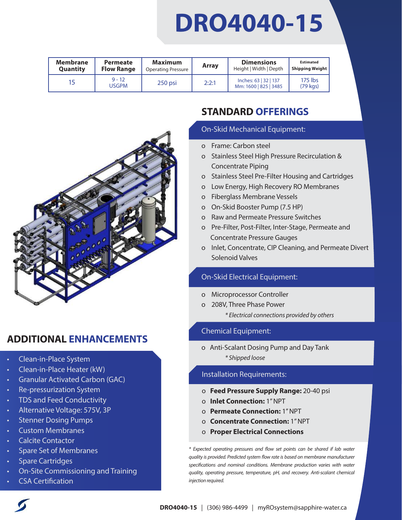# **DRO4040-15**

| Membrane        | Permeate                 | Maximum                   | <b>Array</b> | <b>Dimensions</b>                              | <b>Estimated</b>              |
|-----------------|--------------------------|---------------------------|--------------|------------------------------------------------|-------------------------------|
| <b>Quantity</b> | <b>Flow Range</b>        | <b>Operating Pressure</b> |              | Height   Width   Depth                         | <b>Shipping Weight</b>        |
| 15              | $9 - 12$<br><b>USGPM</b> | $250$ psi                 | 2:2:1        | Inches: 63   32   137<br>Mm: 1600   825   3485 | 175 lbs<br>$(79 \text{ kgs})$ |



## **ADDITIONAL ENHANCEMENTS**

- Clean-in-Place System
- Clean-in-Place Heater (kW)
- Granular Activated Carbon (GAC)
- Re-pressurization System
- TDS and Feed Conductivity
- Alternative Voltage: 575V, 3P
- Stenner Dosing Pumps
- Custom Membranes
- Calcite Contactor
- Spare Set of Membranes
- Spare Cartridges
- On-Site Commissioning and Training
- CSA Certification

## **STANDARD OFFERINGS**

#### On-Skid Mechanical Equipment:

- o Frame: Carbon steel
- o Stainless Steel High Pressure Recirculation & Concentrate Piping
- o Stainless Steel Pre-Filter Housing and Cartridges
- o Low Energy, High Recovery RO Membranes
- o Fiberglass Membrane Vessels
- o On-Skid Booster Pump (7.5 HP)
- o Raw and Permeate Pressure Switches
- o Pre-Filter, Post-Filter, Inter-Stage, Permeate and Concentrate Pressure Gauges
- o Inlet, Concentrate, CIP Cleaning, and Permeate Divert Solenoid Valves

## On-Skid Electrical Equipment:

- o Microprocessor Controller
- o 208V, Three Phase Power *\* Electrical connections provided by others*

### Chemical Equipment:

o Anti-Scalant Dosing Pump and Day Tank *\* Shipped loose*

### Installation Requirements:

- o **Feed Pressure Supply Range:** 20-40 psi
- o **Inlet Connection:** 1" NPT
- o **Permeate Connection:** 1" NPT
- o **Concentrate Connection:** 1" NPT
- o **Proper Electrical Connections**

*\* Expected operating pressures and flow set points can be shared if lab water quality is provided. Predicted system flow rate is based on membrane manufacturer specifications and nominal conditions. Membrane production varies with water quality, operating pressure, temperature, pH, and recovery. Anti-scalant chemical injection required.*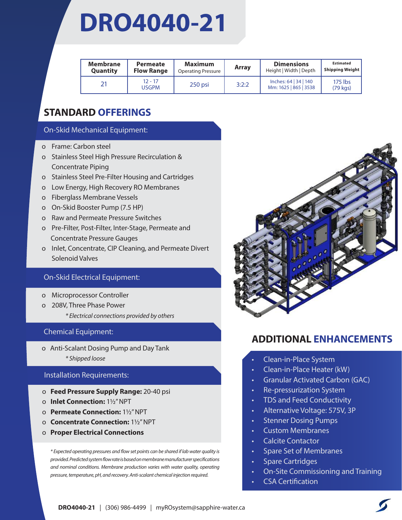## **DRO4040-21**

| Membrane<br>Quantity | Permeate<br><b>Flow Range</b> | <b>Maximum</b><br><b>Operating Pressure</b> | Array | <b>Dimensions</b><br>Height   Width   Depth    | <b>Estimated</b><br><b>Shipping Weight</b> |
|----------------------|-------------------------------|---------------------------------------------|-------|------------------------------------------------|--------------------------------------------|
| 21                   | $12 - 17$<br><b>USGPM</b>     | $250$ psi                                   | 3:2:2 | Inches: 64   34   140<br>Mm: 1625   865   3538 | 175 lbs<br>$(79 \text{ kg})$               |

## **STANDARD OFFERINGS**

### On-Skid Mechanical Equipment:

- o Frame: Carbon steel
- o Stainless Steel High Pressure Recirculation & **Concentrate Piping**
- o Stainless Steel Pre-Filter Housing and Cartridges
- o Low Energy, High Recovery RO Membranes
- o Fiberglass Membrane Vessels
- o On-Skid Booster Pump (7.5 HP)
- o Raw and Permeate Pressure Switches
- o Pre-Filter, Post-Filter, Inter-Stage, Permeate and Concentrate Pressure Gauges
- o Inlet, Concentrate, CIP Cleaning, and Permeate Divert Solenoid Valves

### On-Skid Electrical Equipment:

- o Microprocessor Controller
- o 208V, Three Phase Power
	- *\* Electrical connections provided by others*

### Chemical Equipment:

o Anti-Scalant Dosing Pump and Day Tank *\* Shipped loose*

### Installation Requirements:

- o **Feed Pressure Supply Range:** 20-40 psi
- o **Inlet Connection:** 11/2" NPT
- o **Permeate Connection:** 11/2" NPT
- o **Concentrate Connection:** 11/2" NPT
- o **Proper Electrical Connections**

*\* Expected operating pressures and flow set points can be shared if lab water quality is provided. Predicted system flow rate is based on membrane manufacturer specifications and nominal conditions. Membrane production varies with water quality, operating pressure, temperature, pH, and recovery. Anti-scalant chemical injection required.* 



- Clean-in-Place System
- Clean-in-Place Heater (kW)
- Granular Activated Carbon (GAC)
- Re-pressurization System
- TDS and Feed Conductivity
- Alternative Voltage: 575V, 3P
- Stenner Dosing Pumps
- Custom Membranes
- Calcite Contactor
- Spare Set of Membranes
- Spare Cartridges
- On-Site Commissioning and Training
- **CSA Certification**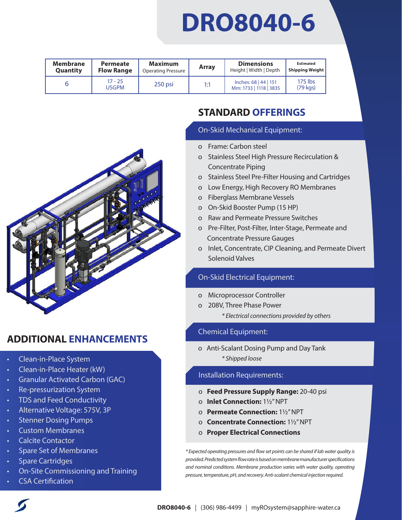## **DRO8040-6**

| <b>Membrane</b> | Permeate                  | Maximum                   | Array | <b>Dimensions</b>                               | <b>Estimated</b>             |
|-----------------|---------------------------|---------------------------|-------|-------------------------------------------------|------------------------------|
| Quantity        | <b>Flow Range</b>         | <b>Operating Pressure</b> |       | Height   Width   Depth                          | <b>Shipping Weight</b>       |
|                 | $17 - 25$<br><b>USGPM</b> | $250$ psi                 | 1:1   | Inches: 68   44   151<br>Mm: 1733   1118   3835 | 175 lbs<br>$(79 \text{ kg})$ |

Ī



## **ADDITIONAL ENHANCEMENTS**

- Clean-in-Place System
- Clean-in-Place Heater (kW)
- Granular Activated Carbon (GAC)
- Re-pressurization System
- TDS and Feed Conductivity
- Alternative Voltage: 575V, 3P
- Stenner Dosing Pumps
- Custom Membranes
- Calcite Contactor
- Spare Set of Membranes
- Spare Cartridges
- On-Site Commissioning and Training
- CSA Certification

## **STANDARD OFFERINGS**

### On-Skid Mechanical Equipment:

- o Frame: Carbon steel
- o Stainless Steel High Pressure Recirculation & o Concentrate Piping
- o Stainless Steel Pre-Filter Housing and Cartridges
- o Low Energy, High Recovery RO Membranes
- o Fiberglass Membrane Vessels
- o On-Skid Booster Pump (15 HP)
- o Raw and Permeate Pressure Switches
- o Pre-Filter, Post-Filter, Inter-Stage, Permeate and Concentrate Pressure Gauges
- o Inlet, Concentrate, CIP Cleaning, and Permeate Divert Solenoid Valves

## On-Skid Electrical Equipment:

- o Microprocessor Controller
- o 208V, Three Phase Power
	- *\* Electrical connections provided by others*

## Chemical Equipment:

o Anti-Scalant Dosing Pump and Day Tank *\* Shipped loose*

## Installation Requirements:

- o **Feed Pressure Supply Range:** 20-40 psi
- o **Inlet Connection:** 11/2" NPT
- o **Permeate Connection:** 11/2" NPT
- o **Concentrate Connection:** 11/2" NPT
- o **Proper Electrical Connections**

*\* Expected operating pressures and flow set points can be shared if lab water quality is provided. Predicted system flow rate is based on membrane manufacturer specifications and nominal conditions. Membrane production varies with water quality, operating pressure, temperature, pH, and recovery. Anti-scalant chemical injection required.*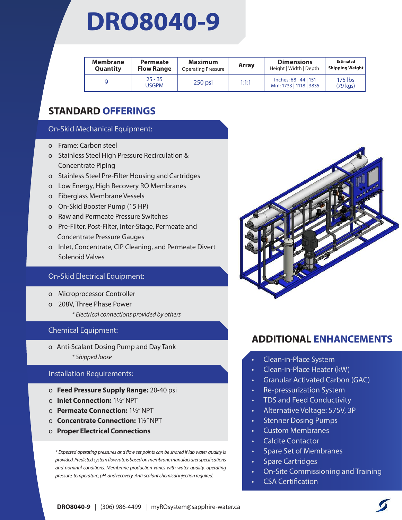## **DRO8040-9**

| <b>Membrane</b><br>Quantity | Permeate<br><b>Flow Range</b> | <b>Maximum</b><br><b>Operating Pressure</b> | <b>Array</b> | <b>Dimensions</b><br>Height   Width   Depth     | <b>Estimated</b><br><b>Shipping Weight</b> |
|-----------------------------|-------------------------------|---------------------------------------------|--------------|-------------------------------------------------|--------------------------------------------|
|                             | $25 - 35$<br>USGPM            | 250 psi                                     | 1:1:1        | Inches: 68   44   151<br>Mm: 1733   1118   3835 | 175 lbs<br>$(79 \text{ kg})$               |

## **STANDARD OFFERINGS**

### On-Skid Mechanical Equipment:

- o Frame: Carbon steel
- o Stainless Steel High Pressure Recirculation & **Concentrate Piping**
- o Stainless Steel Pre-Filter Housing and Cartridges
- o Low Energy, High Recovery RO Membranes
- o Fiberglass Membrane Vessels
- o On-Skid Booster Pump (15 HP)
- o Raw and Permeate Pressure Switches
- o Pre-Filter, Post-Filter, Inter-Stage, Permeate and Concentrate Pressure Gauges
- o Inlet, Concentrate, CIP Cleaning, and Permeate Divert Solenoid Valves

### On-Skid Electrical Equipment:

- o Microprocessor Controller
- o 208V, Three Phase Power
	- *\* Electrical connections provided by others*

### Chemical Equipment:

o Anti-Scalant Dosing Pump and Day Tank *\* Shipped loose*

### Installation Requirements:

- o **Feed Pressure Supply Range:** 20-40 psi
- o **Inlet Connection:** 11/2" NPT
- o **Permeate Connection:** 11/2" NPT
- o **Concentrate Connection:** 11/2" NPT
- o **Proper Electrical Connections**

*\* Expected operating pressures and flow set points can be shared if lab water quality is provided. Predicted system flow rate is based on membrane manufacturer specifications and nominal conditions. Membrane production varies with water quality, operating pressure, temperature, pH, and recovery. Anti-scalant chemical injection required.* 



- Clean-in-Place System
- Clean-in-Place Heater (kW)
- Granular Activated Carbon (GAC)
- Re-pressurization System
- TDS and Feed Conductivity
- Alternative Voltage: 575V, 3P
- Stenner Dosing Pumps
- Custom Membranes
- Calcite Contactor
- Spare Set of Membranes
- Spare Cartridges
- On-Site Commissioning and Training
- CSA Certification